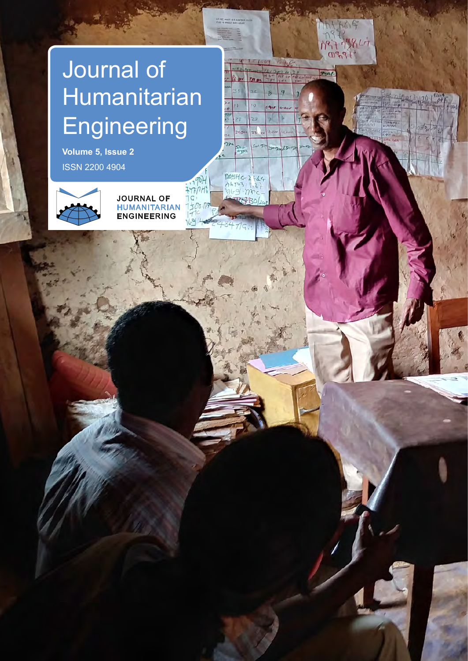# Journal of Humanitarian **Engineering**

**Volume 5, Issue 2** ISSN 2200 4904



JOURNAL OF HUMANITARIAN ENGINEERING

JOURNAL OF  $H_{\text{H}}$ Engineering of the company

JOURNAL OF HUMANITARIAN ENGINEERING

 $\ddot{\phantom{1}}$  $606$  $84$ 1977 798 Li  $09991$ 

 $p_{en}$ 

**Frie**  $840$  $P_{12}$ 

> 9  $\mathcal{D}$

> > $\mathbf{p}$

 $A$  $\overline{\mathbf{r}}$ 

 $\frac{1}{2}$ 

**ALAMA** 

ä.

 $\overline{a}$ 

 $22,500$ 

POOHG 2144

**REP**BOL

49<br>783

 $\overline{\gamma}$ Stere .

 $190 +$ trinh  $\overline{C}$ 

1500:11  $69:4$ 

ia.

 $\overline{23}$ 

22).

JOURNAL OF HUMANITARIAN ENGINEERING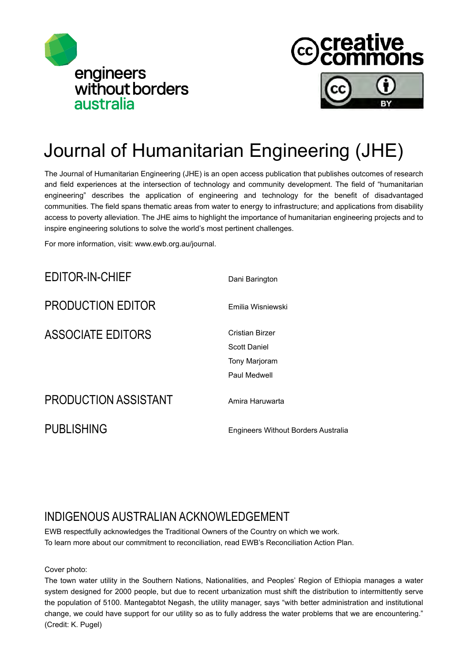



## Journal of Humanitarian Engineering (JHE)

The Journal of Humanitarian Engineering (JHE) is an open access publication that publishes outcomes of research and field experiences at the intersection of technology and community development. The field of "humanitarian engineering" describes the application of engineering and technology for the benefit of disadvantaged communities. The field spans thematic areas from water to energy to infrastructure; and applications from disability access to poverty alleviation. The JHE aims to highlight the importance of humanitarian engineering projects and to inspire engineering solutions to solve the world's most pertinent challenges.

For more information, visit: www.ewb.org.au/journal.

EDITOR-IN-CHIEF

PRODUCTION EDITOR

ASSOCIATE EDITORS

Dani Barington

Emilia Wisniewski

Cristian Birzer Scott Daniel Tony Marjoram Paul Medwell

Amira Haruwarta

### PRODUCTION ASSISTANT

PUBLISHING

Engineers Without Borders Australia

## INDIGENOUS AUSTRALIAN ACKNOWLEDGEMENT

EWB respectfully acknowledges the Traditional Owners of the Country on which we work. To learn more about our commitment to reconciliation, read EWB's Reconciliation Action Plan.

Cover photo:

The town water utility in the Southern Nations, Nationalities, and Peoples' Region of Ethiopia manages a water system designed for 2000 people, but due to recent urbanization must shift the distribution to intermittently serve the population of 5100. Mantegabtot Negash, the utility manager, says "with better administration and institutional change, we could have support for our utility so as to fully address the water problems that we are encountering." (Credit: K. Pugel)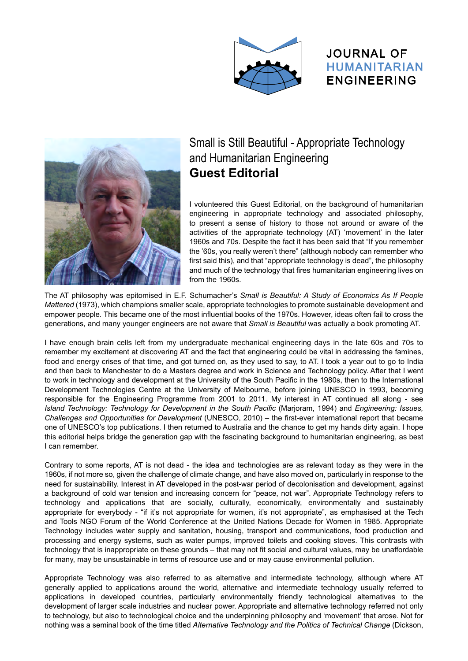





#### Journology HUMANITARIAN Small is Still Beautiful - Appropriate Technology and Humanitarian Engineering **Guest Editorial**

I volunteered this Guest Editorial, on the background of humanitarian engineering in appropriate technology and associated philosophy, to present a sense of history to those not around or aware of the activities of the appropriate technology (AT) 'movement' in the later 1960s and 70s. Despite the fact it has been said that "If you remember the '60s, you really weren't there" (although nobody can remember who first said this), and that "appropriate technology is dead", the philosophy and much of the technology that fires humanitarian engineering lives on from the 1960s.

The AT philosophy was epitomised in E.F. Schumacher's *Small is Beautiful: A Study of Economics As If People Mattered* (1973), which champions smaller scale, appropriate technologies to promote sustainable development and empower people. This became one of the most influential books of the 1970s. However, ideas often fail to cross the generations, and many younger engineers are not aware that *Small is Beautiful* was actually a book promoting AT.

I have enough brain cells left from my undergraduate mechanical engineering days in the late 60s and 70s to remember my excitement at discovering AT and the fact that engineering could be vital in addressing the famines, food and energy crises of that time, and got turned on, as they used to say, to AT. I took a year out to go to India and then back to Manchester to do a Masters degree and work in Science and Technology policy. After that I went to work in technology and development at the University of the South Pacific in the 1980s, then to the International Development Technologies Centre at the University of Melbourne, before joining UNESCO in 1993, becoming responsible for the Engineering Programme from 2001 to 2011. My interest in AT continued all along - see *Island Technology: Technology for Development in the South Pacific* (Marjoram, 1994) and *Engineering: Issues, Challenges and Opportunities for Development* (UNESCO, 2010) – the first-ever international report that became one of UNESCO's top publications. I then returned to Australia and the chance to get my hands dirty again. I hope this editorial helps bridge the generation gap with the fascinating background to humanitarian engineering, as best I can remember.

Contrary to some reports, AT is not dead - the idea and technologies are as relevant today as they were in the 1960s, if not more so, given the challenge of climate change, and have also moved on, particularly in response to the need for sustainability. Interest in AT developed in the post-war period of decolonisation and development, against a background of cold war tension and increasing concern for "peace, not war". Appropriate Technology refers to technology and applications that are socially, culturally, economically, environmentally and sustainably appropriate for everybody - "if it's not appropriate for women, it's not appropriate", as emphasised at the Tech and Tools NGO Forum of the World Conference at the United Nations Decade for Women in 1985. Appropriate Technology includes water supply and sanitation, housing, transport and communications, food production and processing and energy systems, such as water pumps, improved toilets and cooking stoves. This contrasts with technology that is inappropriate on these grounds – that may not fit social and cultural values, may be unaffordable for many, may be unsustainable in terms of resource use and or may cause environmental pollution.

Appropriate Technology was also referred to as alternative and intermediate technology, although where AT generally applied to applications around the world, alternative and intermediate technology usually referred to applications in developed countries, particularly environmentally friendly technological alternatives to the development of larger scale industries and nuclear power. Appropriate and alternative technology referred not only to technology, but also to technological choice and the underpinning philosophy and 'movement' that arose. Not for nothing was a seminal book of the time titled *Alternative Technology and the Politics of Technical Change* (Dickson,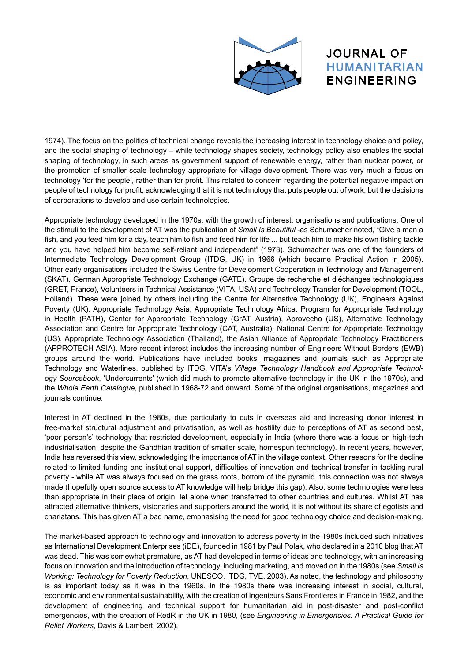

#### JOURNAL OF HUMANITARIAN ENGINEERING

and the social shaping of technology – while technology shapes society, technology policy also enables the social shaping of technology, in such areas as government support of renewable energy, rather than nuclear power, or<br>the aremation of emaller each technology energy idea for village development. There were your much a focus on technology 'for the people', rather than for profit. This related to concern regarding the potential negative impact on 1974). The focus on the politics of technical change reveals the increasing interest in technology choice and policy, the promotion of smaller scale technology appropriate for village development. There was very much a focus on people of technology for profit, acknowledging that it is not technology that puts people out of work, but the decisions of corporations to develop and use certain technologies.

Appropriate technology developed in the 1970s, with the growth of interest, organisations and publications. One of the stimuli to the development of AT was the publication of *Small Is Beautiful* -as Schumacher noted, "Give a man a fish, and you feed him for a day, teach him to fish and feed him for life ... but teach him to make his own fishing tackle and you have helped him become self-reliant and independent" (1973). Schumacher was one of the founders of Intermediate Technology Development Group (ITDG, UK) in 1966 (which became Practical Action in 2005). Other early organisations included the Swiss Centre for Development Cooperation in Technology and Management (SKAT), German Appropriate Technology Exchange (GATE), Groupe de recherche et d'échanges technologiques (GRET, France), Volunteers in Technical Assistance (VITA, USA) and Technology Transfer for Development (TOOL, Holland). These were joined by others including the Centre for Alternative Technology (UK), Engineers Against Poverty (UK), Appropriate Technology Asia, Appropriate Technology Africa, Program for Appropriate Technology in Health (PATH), Center for Appropriate Technology (GrAT, Austria), Aprovecho (US), Alternative Technology Association and Centre for Appropriate Technology (CAT, Australia), National Centre for Appropriate Technology (US), Appropriate Technology Association (Thailand), the Asian Alliance of Appropriate Technology Practitioners (APPROTECH ASIA). More recent interest includes the increasing number of Engineers Without Borders (EWB) groups around the world. Publications have included books, magazines and journals such as Appropriate Technology and Waterlines, published by ITDG, VITA's *Village Technology Handbook and Appropriate Technology Sourcebook*, 'Undercurrents' (which did much to promote alternative technology in the UK in the 1970s), and the *Whole Earth Catalogue*, published in 1968-72 and onward. Some of the original organisations, magazines and journals continue.

Interest in AT declined in the 1980s, due particularly to cuts in overseas aid and increasing donor interest in free-market structural adjustment and privatisation, as well as hostility due to perceptions of AT as second best, 'poor person's' technology that restricted development, especially in India (where there was a focus on high-tech industrialisation, despite the Gandhian tradition of smaller scale, homespun technology). In recent years, however, India has reversed this view, acknowledging the importance of AT in the village context. Other reasons for the decline related to limited funding and institutional support, difficulties of innovation and technical transfer in tackling rural poverty - while AT was always focused on the grass roots, bottom of the pyramid, this connection was not always made (hopefully open source access to AT knowledge will help bridge this gap). Also, some technologies were less than appropriate in their place of origin, let alone when transferred to other countries and cultures. Whilst AT has attracted alternative thinkers, visionaries and supporters around the world, it is not without its share of egotists and charlatans. This has given AT a bad name, emphasising the need for good technology choice and decision-making.

The market-based approach to technology and innovation to address poverty in the 1980s included such initiatives as International Development Enterprises (iDE), founded in 1981 by Paul Polak, who declared in a 2010 blog that AT was dead. This was somewhat premature, as AT had developed in terms of ideas and technology, with an increasing focus on innovation and the introduction of technology, including marketing, and moved on in the 1980s (see *Small Is Working: Technology for Poverty Reduction*, UNESCO, ITDG, TVE, 2003). As noted, the technology and philosophy is as important today as it was in the 1960s. In the 1980s there was increasing interest in social, cultural, economic and environmental sustainability, with the creation of Ingenieurs Sans Frontieres in France in 1982, and the development of engineering and technical support for humanitarian aid in post-disaster and post-conflict emergencies, with the creation of RedR in the UK in 1980, (see *Engineering in Emergencies: A Practical Guide for Relief Workers*, Davis & Lambert, 2002).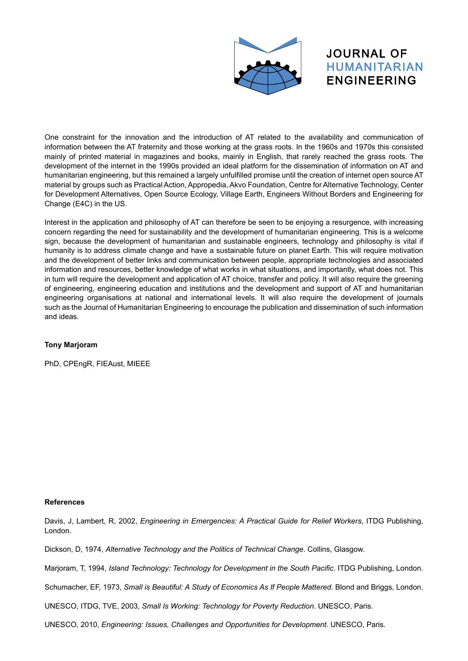

#### JOURNAL OF HUMANITARIAN ENGINEERING

information between the AT fraternity and those working at the grass roots. In the 1960s and 1970s this consisted<br>mainly of printed material in magazines and books, mainly in English, that recely resehed the grass resta. T Humanity of printed indicital in inagualities and section, manny in English, that rarely redefied the grace rector. The development of the internet in the 1990s provided an ideal platform for the dissemination of informati humanitarian engineering, but this remained a largely unfulfilled promise until the creation of internet open source AT One constraint for the innovation and the introduction of AT related to the availability and communication of mainly of printed material in magazines and books, mainly in English, that rarely reached the grass roots. The material by groups such as Practical Action, Appropedia, Akvo Foundation, Centre for Alternative Technology, Center for Development Alternatives, Open Source Ecology, Village Earth, Engineers Without Borders and Engineering for Change (E4C) in the US.

Interest in the application and philosophy of AT can therefore be seen to be enjoying a resurgence, with increasing concern regarding the need for sustainability and the development of humanitarian engineering. This is a welcome sign, because the development of humanitarian and sustainable engineers, technology and philosophy is vital if humanity is to address climate change and have a sustainable future on planet Earth. This will require motivation and the development of better links and communication between people, appropriate technologies and associated information and resources, better knowledge of what works in what situations, and importantly, what does not. This in turn will require the development and application of AT choice, transfer and policy. It will also require the greening of engineering, engineering education and institutions and the development and support of AT and humanitarian engineering organisations at national and international levels. It will also require the development of journals such as the Journal of Humanitarian Engineering to encourage the publication and dissemination of such information and ideas.

#### **Tony Marjoram**

PhD, CPEngR, FIEAust, MIEEE

#### **References**

Davis, J, Lambert, R, 2002, *Engineering in Emergencies: A Practical Guide for Relief Workers*, ITDG Publishing, London.

Dickson, D, 1974, *Alternative Technology and the Politics of Technical Change*. Collins, Glasgow.

Marjoram, T, 1994, *Island Technology: Technology for Development in the South Pacific.* ITDG Publishing, London.

Schumacher, EF, 1973, *Small is Beautiful: A Study of Economics As If People Mattered*. Blond and Briggs, London.

UNESCO, ITDG, TVE, 2003, *Small Is Working: Technology for Poverty Reduction*. UNESCO, Paris.

UNESCO, 2010, *Engineering: Issues, Challenges and Opportunities for Development.* UNESCO, Paris.